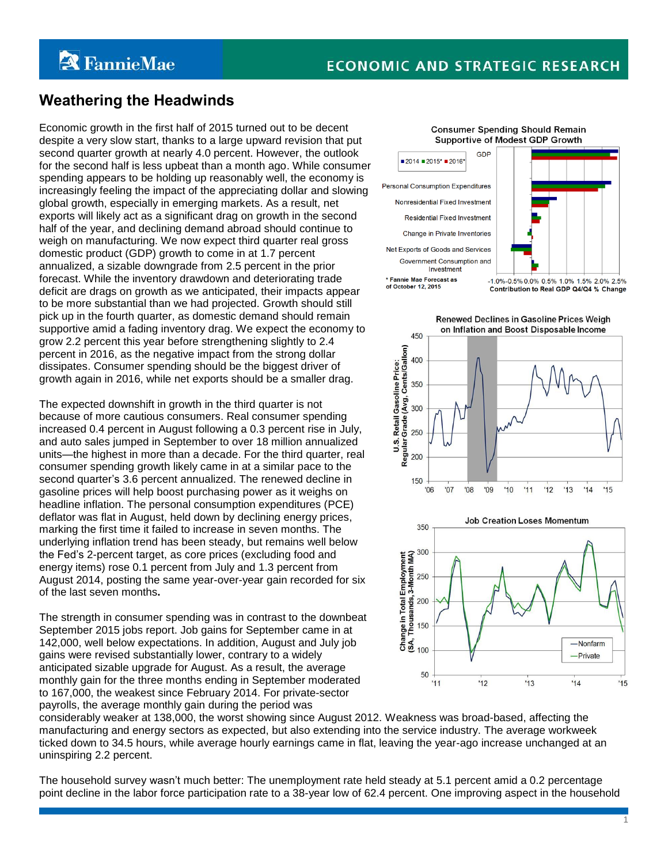# **ECONOMIC AND STRATEGIC RESEARCH**

# **Weathering the Headwinds**

Economic growth in the first half of 2015 turned out to be decent despite a very slow start, thanks to a large upward revision that put second quarter growth at nearly 4.0 percent. However, the outlook for the second half is less upbeat than a month ago. While consumer spending appears to be holding up reasonably well, the economy is increasingly feeling the impact of the appreciating dollar and slowing global growth, especially in emerging markets. As a result, net exports will likely act as a significant drag on growth in the second half of the year, and declining demand abroad should continue to weigh on manufacturing. We now expect third quarter real gross domestic product (GDP) growth to come in at 1.7 percent annualized, a sizable downgrade from 2.5 percent in the prior forecast. While the inventory drawdown and deteriorating trade deficit are drags on growth as we anticipated, their impacts appear to be more substantial than we had projected. Growth should still pick up in the fourth quarter, as domestic demand should remain supportive amid a fading inventory drag. We expect the economy to grow 2.2 percent this year before strengthening slightly to 2.4 percent in 2016, as the negative impact from the strong dollar dissipates. Consumer spending should be the biggest driver of growth again in 2016, while net exports should be a smaller drag.

The expected downshift in growth in the third quarter is not because of more cautious consumers. Real consumer spending increased 0.4 percent in August following a 0.3 percent rise in July, and auto sales jumped in September to over 18 million annualized units—the highest in more than a decade. For the third quarter, real consumer spending growth likely came in at a similar pace to the second quarter's 3.6 percent annualized. The renewed decline in gasoline prices will help boost purchasing power as it weighs on headline inflation. The personal consumption expenditures (PCE) deflator was flat in August, held down by declining energy prices, marking the first time it failed to increase in seven months. The underlying inflation trend has been steady, but remains well below the Fed's 2-percent target, as core prices (excluding food and energy items) rose 0.1 percent from July and 1.3 percent from August 2014, posting the same year-over-year gain recorded for six of the last seven months**.** 

The strength in consumer spending was in contrast to the downbeat September 2015 jobs report. Job gains for September came in at 142,000, well below expectations. In addition, August and July job gains were revised substantially lower, contrary to a widely anticipated sizable upgrade for August. As a result, the average monthly gain for the three months ending in September moderated to 167,000, the weakest since February 2014. For private-sector payrolls, the average monthly gain during the period was

#### **Consumer Spending Should Remain** Supportive of Modest GDP Growth





Renewed Declines in Gasoline Prices Weigh





1

considerably weaker at 138,000, the worst showing since August 2012. Weakness was broad-based, affecting the manufacturing and energy sectors as expected, but also extending into the service industry. The average workweek ticked down to 34.5 hours, while average hourly earnings came in flat, leaving the year-ago increase unchanged at an uninspiring 2.2 percent.

The household survey wasn't much better: The unemployment rate held steady at 5.1 percent amid a 0.2 percentage point decline in the labor force participation rate to a 38-year low of 62.4 percent. One improving aspect in the household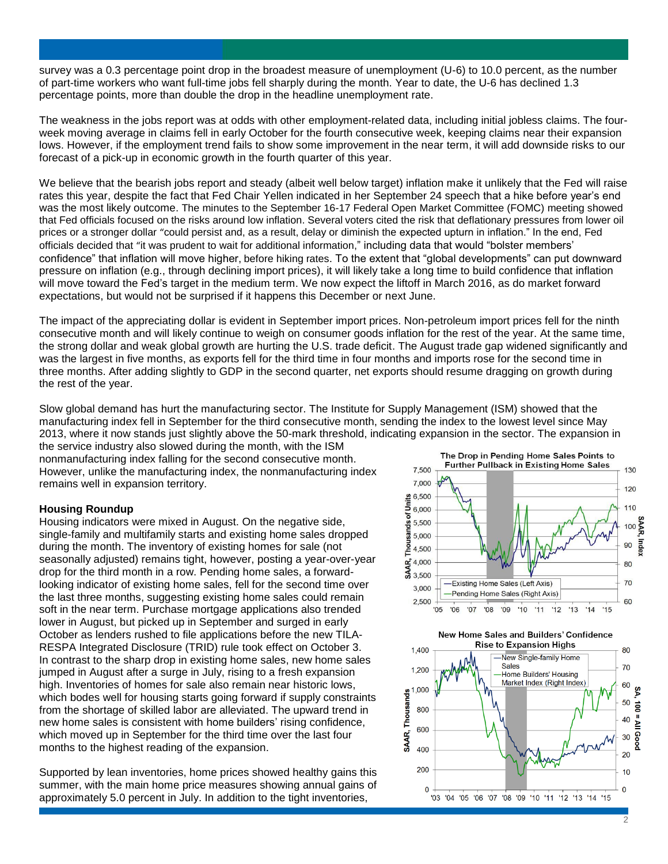survey was a 0.3 percentage point drop in the broadest measure of unemployment (U-6) to 10.0 percent, as the number of part-time workers who want full-time jobs fell sharply during the month. Year to date, the U-6 has declined 1.3 percentage points, more than double the drop in the headline unemployment rate.

The weakness in the jobs report was at odds with other employment-related data, including initial jobless claims. The fourweek moving average in claims fell in early October for the fourth consecutive week, keeping claims near their expansion lows. However, if the employment trend fails to show some improvement in the near term, it will add downside risks to our forecast of a pick-up in economic growth in the fourth quarter of this year.

We believe that the bearish jobs report and steady (albeit well below target) inflation make it unlikely that the Fed will raise rates this year, despite the fact that Fed Chair Yellen indicated in her September 24 speech that a hike before year's end was the most likely outcome. The minutes to the September 16-17 Federal Open Market Committee (FOMC) meeting showed that Fed officials focused on the risks around low inflation. Several voters cited the risk that deflationary pressures from lower oil prices or a stronger dollar "could persist and, as a result, delay or diminish the expected upturn in inflation." In the end, Fed officials decided that "it was prudent to wait for additional information," including data that would "bolster members' confidence" that inflation will move higher, before hiking rates. To the extent that "global developments" can put downward pressure on inflation (e.g., through declining import prices), it will likely take a long time to build confidence that inflation will move toward the Fed's target in the medium term. We now expect the liftoff in March 2016, as do market forward expectations, but would not be surprised if it happens this December or next June.

The impact of the appreciating dollar is evident in September import prices. Non-petroleum import prices fell for the ninth consecutive month and will likely continue to weigh on consumer goods inflation for the rest of the year. At the same time, the strong dollar and weak global growth are hurting the U.S. trade deficit. The August trade gap widened significantly and was the largest in five months, as exports fell for the third time in four months and imports rose for the second time in three months. After adding slightly to GDP in the second quarter, net exports should resume dragging on growth during the rest of the year.

Slow global demand has hurt the manufacturing sector. The Institute for Supply Management (ISM) showed that the manufacturing index fell in September for the third consecutive month, sending the index to the lowest level since May 2013, where it now stands just slightly above the 50-mark threshold, indicating expansion in the sector. The expansion in the service industry also slowed during the month, with the ISM

nonmanufacturing index falling for the second consecutive month. However, unlike the manufacturing index, the nonmanufacturing index remains well in expansion territory.

## **Housing Roundup**

Housing indicators were mixed in August. On the negative side, single-family and multifamily starts and existing home sales dropped during the month. The inventory of existing homes for sale (not seasonally adjusted) remains tight, however, posting a year-over-year drop for the third month in a row. Pending home sales, a forwardlooking indicator of existing home sales, fell for the second time over the last three months, suggesting existing home sales could remain soft in the near term. Purchase mortgage applications also trended lower in August, but picked up in September and surged in early October as lenders rushed to file applications before the new TILA-RESPA Integrated Disclosure (TRID) rule took effect on October 3. In contrast to the sharp drop in existing home sales, new home sales jumped in August after a surge in July, rising to a fresh expansion high. Inventories of homes for sale also remain near historic lows, which bodes well for housing starts going forward if supply constraints from the shortage of skilled labor are alleviated. The upward trend in new home sales is consistent with home builders' rising confidence, which moved up in September for the third time over the last four months to the highest reading of the expansion.

Supported by lean inventories, home prices showed healthy gains this summer, with the main home price measures showing annual gains of approximately 5.0 percent in July. In addition to the tight inventories,



New Home Sales and Builders' Confidence **Rise to Expansion Highs** 1,400 80 New Single-family Home Sales 70 1 200 Home Builders' Housing Market Index (Right Index) 60 1,000 SA, **SAAR, Thousands** 50 100 = All Good 800 40 600 30  $400$  $\overline{20}$ 200  $10$  $\overline{0}$  $\overline{0}$ 03 '04 '05 '06 '07 '08 '09 '10 '11 '12 '13 '14 '15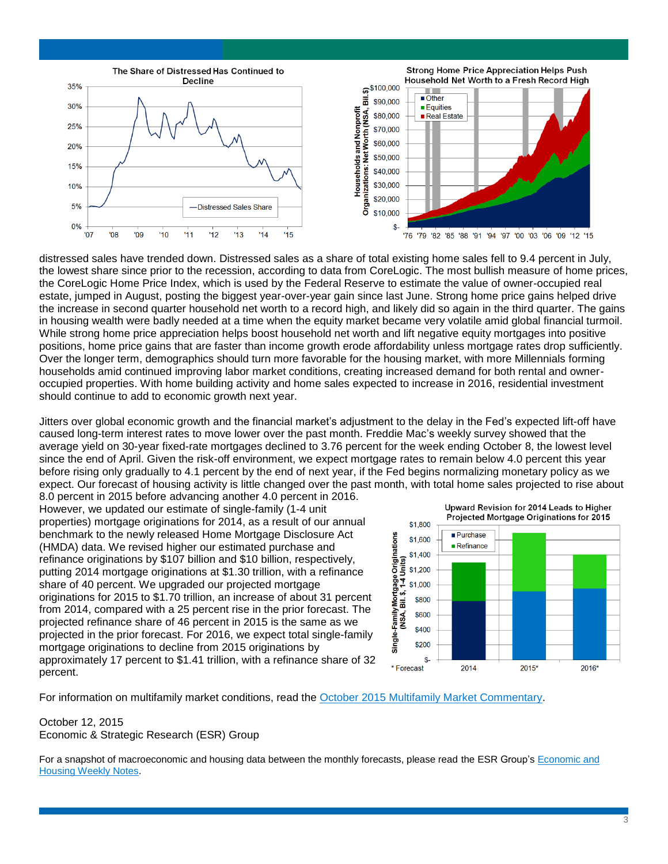

distressed sales have trended down. Distressed sales as a share of total existing home sales fell to 9.4 percent in July, the lowest share since prior to the recession, according to data from CoreLogic. The most bullish measure of home prices, the CoreLogic Home Price Index, which is used by the Federal Reserve to estimate the value of owner-occupied real estate, jumped in August, posting the biggest year-over-year gain since last June. Strong home price gains helped drive the increase in second quarter household net worth to a record high, and likely did so again in the third quarter. The gains in housing wealth were badly needed at a time when the equity market became very volatile amid global financial turmoil. While strong home price appreciation helps boost household net worth and lift negative equity mortgages into positive positions, home price gains that are faster than income growth erode affordability unless mortgage rates drop sufficiently. Over the longer term, demographics should turn more favorable for the housing market, with more Millennials forming households amid continued improving labor market conditions, creating increased demand for both rental and owneroccupied properties. With home building activity and home sales expected to increase in 2016, residential investment should continue to add to economic growth next year.

Jitters over global economic growth and the financial market's adjustment to the delay in the Fed's expected lift-off have caused long-term interest rates to move lower over the past month. Freddie Mac's weekly survey showed that the average yield on 30-year fixed-rate mortgages declined to 3.76 percent for the week ending October 8, the lowest level since the end of April. Given the risk-off environment, we expect mortgage rates to remain below 4.0 percent this year before rising only gradually to 4.1 percent by the end of next year, if the Fed begins normalizing monetary policy as we expect. Our forecast of housing activity is little changed over the past month, with total home sales projected to rise about 8.0 percent in 2015 before advancing another 4.0 percent in 2016.

However, we updated our estimate of single-family (1-4 unit properties) mortgage originations for 2014, as a result of our annual benchmark to the newly released Home Mortgage Disclosure Act (HMDA) data. We revised higher our estimated purchase and refinance originations by \$107 billion and \$10 billion, respectively, putting 2014 mortgage originations at \$1.30 trillion, with a refinance share of 40 percent. We upgraded our projected mortgage originations for 2015 to \$1.70 trillion, an increase of about 31 percent from 2014, compared with a 25 percent rise in the prior forecast. The projected refinance share of 46 percent in 2015 is the same as we projected in the prior forecast. For 2016, we expect total single-family mortgage originations to decline from 2015 originations by approximately 17 percent to \$1.41 trillion, with a refinance share of 32 percent.



For information on multifamily market conditions, read the [October 2015 Multifamily Market Commentary.](http://preview.fanniemae.com/resources/file/research/emma/pdf/MF_Market_Commentary_101615.pdf)

## October 12, 2015 Economic & Strategic Research (ESR) Group

For a snapshot of macroeconomic and housing data between the monthly forecasts, please read the ESR Group's [Economic and](http://www.fanniemae.com/portal/research-and-analysis/emma.html)  [Housing Weekly Notes.](http://www.fanniemae.com/portal/research-and-analysis/emma.html)